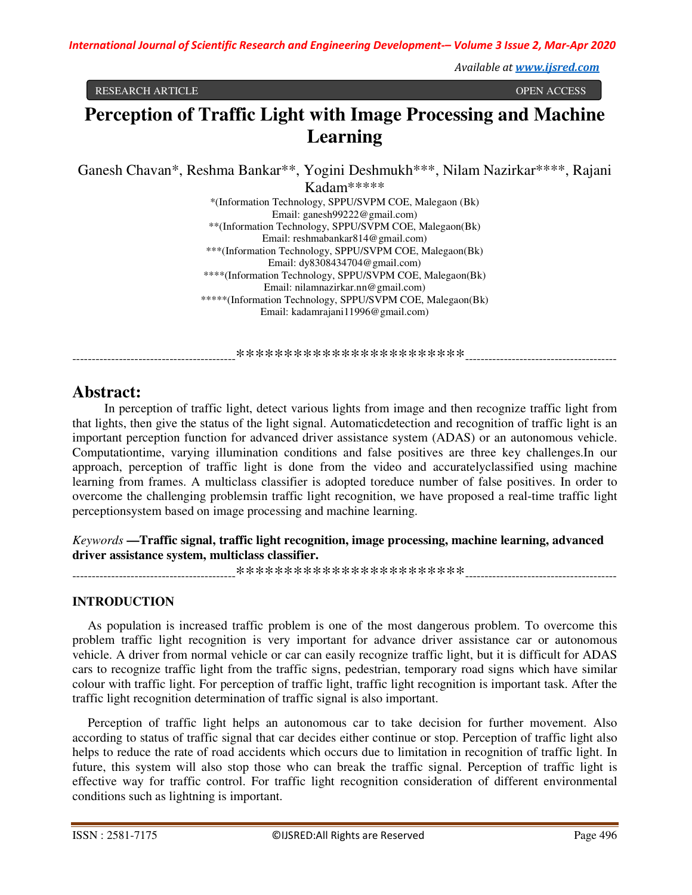*Available at www.ijsred.com*

#### RESEARCH ARTICLE OPEN ACCESS

# **Perception of Traffic Light with Image Processing and Machine Learning**

Ganesh Chavan\*, Reshma Bankar\*\*, Yogini Deshmukh\*\*\*, Nilam Nazirkar\*\*\*\*, Rajani

Kadam\*\*\*\*\* \*(Information Technology, SPPU/SVPM COE, Malegaon (Bk) Email: ganesh99222@gmail.com) \*\*(Information Technology, SPPU/SVPM COE, Malegaon(Bk) Email: reshmabankar814@gmail.com) \*\*\*(Information Technology, SPPU/SVPM COE, Malegaon(Bk) Email: dy8308434704@gmail.com) \*\*\*\*(Information Technology, SPPU/SVPM COE, Malegaon(Bk) Email: nilamnazirkar.nn@gmail.com) \*\*\*\*\*(Information Technology, SPPU/SVPM COE, Malegaon(Bk) Email: kadamrajani11996@gmail.com)

------------------------------------------\*\*\*\*\*\*\*\*\*\*\*\*\*\*\*\*\*\*\*\*\*\*\*\*---------------------------------------

## **Abstract:**

 In perception of traffic light, detect various lights from image and then recognize traffic light from that lights, then give the status of the light signal. Automaticdetection and recognition of traffic light is an important perception function for advanced driver assistance system (ADAS) or an autonomous vehicle. Computationtime, varying illumination conditions and false positives are three key challenges.In our approach, perception of traffic light is done from the video and accuratelyclassified using machine learning from frames. A multiclass classifier is adopted toreduce number of false positives. In order to overcome the challenging problemsin traffic light recognition, we have proposed a real-time traffic light perceptionsystem based on image processing and machine learning.

## *Keywords* **—Traffic signal, traffic light recognition, image processing, machine learning, advanced driver assistance system, multiclass classifier.**

------------------------------------------\*\*\*\*\*\*\*\*\*\*\*\*\*\*\*\*\*\*\*\*\*\*\*\*---------------------------------------

## **INTRODUCTION**

 As population is increased traffic problem is one of the most dangerous problem. To overcome this problem traffic light recognition is very important for advance driver assistance car or autonomous vehicle. A driver from normal vehicle or car can easily recognize traffic light, but it is difficult for ADAS cars to recognize traffic light from the traffic signs, pedestrian, temporary road signs which have similar colour with traffic light. For perception of traffic light, traffic light recognition is important task. After the traffic light recognition determination of traffic signal is also important.

 Perception of traffic light helps an autonomous car to take decision for further movement. Also according to status of traffic signal that car decides either continue or stop. Perception of traffic light also helps to reduce the rate of road accidents which occurs due to limitation in recognition of traffic light. In future, this system will also stop those who can break the traffic signal. Perception of traffic light is effective way for traffic control. For traffic light recognition consideration of different environmental conditions such as lightning is important.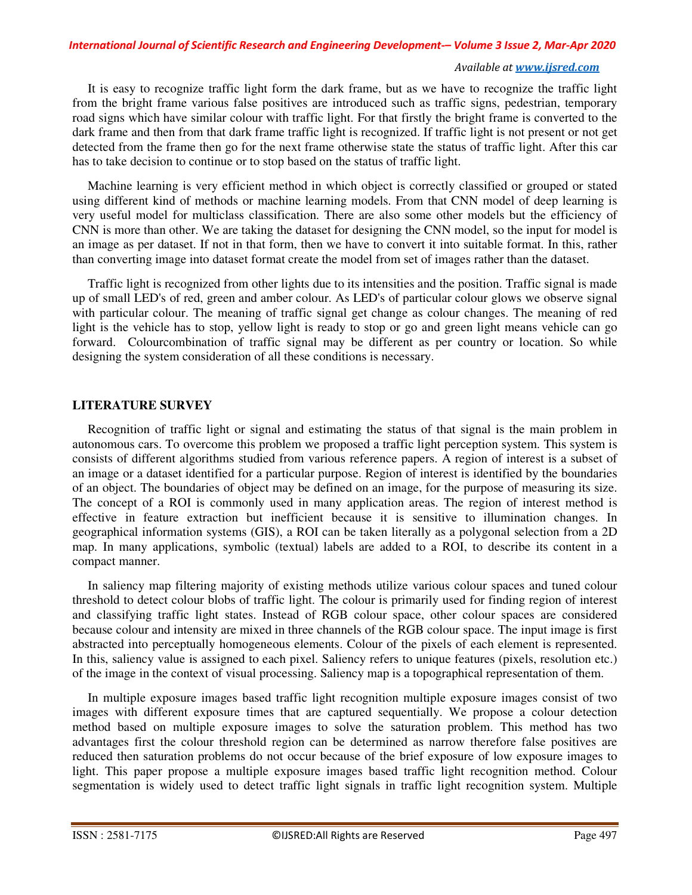#### *Available at www.ijsred.com*

 It is easy to recognize traffic light form the dark frame, but as we have to recognize the traffic light from the bright frame various false positives are introduced such as traffic signs, pedestrian, temporary road signs which have similar colour with traffic light. For that firstly the bright frame is converted to the dark frame and then from that dark frame traffic light is recognized. If traffic light is not present or not get detected from the frame then go for the next frame otherwise state the status of traffic light. After this car has to take decision to continue or to stop based on the status of traffic light.

 Machine learning is very efficient method in which object is correctly classified or grouped or stated using different kind of methods or machine learning models. From that CNN model of deep learning is very useful model for multiclass classification. There are also some other models but the efficiency of CNN is more than other. We are taking the dataset for designing the CNN model, so the input for model is an image as per dataset. If not in that form, then we have to convert it into suitable format. In this, rather than converting image into dataset format create the model from set of images rather than the dataset.

 Traffic light is recognized from other lights due to its intensities and the position. Traffic signal is made up of small LED's of red, green and amber colour. As LED's of particular colour glows we observe signal with particular colour. The meaning of traffic signal get change as colour changes. The meaning of red light is the vehicle has to stop, yellow light is ready to stop or go and green light means vehicle can go forward. Colourcombination of traffic signal may be different as per country or location. So while designing the system consideration of all these conditions is necessary.

## **LITERATURE SURVEY**

 Recognition of traffic light or signal and estimating the status of that signal is the main problem in autonomous cars. To overcome this problem we proposed a traffic light perception system. This system is consists of different algorithms studied from various reference papers. A region of interest is a subset of an image or a dataset identified for a particular purpose. Region of interest is identified by the boundaries of an object. The boundaries of object may be defined on an image, for the purpose of measuring its size. The concept of a ROI is commonly used in many application areas. The region of interest method is effective in feature extraction but inefficient because it is sensitive to illumination changes. In geographical information systems (GIS), a ROI can be taken literally as a polygonal selection from a 2D map. In many applications, symbolic (textual) labels are added to a ROI, to describe its content in a compact manner.

 In saliency map filtering majority of existing methods utilize various colour spaces and tuned colour threshold to detect colour blobs of traffic light. The colour is primarily used for finding region of interest and classifying traffic light states. Instead of RGB colour space, other colour spaces are considered because colour and intensity are mixed in three channels of the RGB colour space. The input image is first abstracted into perceptually homogeneous elements. Colour of the pixels of each element is represented. In this, saliency value is assigned to each pixel. Saliency refers to unique features (pixels, resolution etc.) of the image in the context of visual processing. Saliency map is a topographical representation of them.

 In multiple exposure images based traffic light recognition multiple exposure images consist of two images with different exposure times that are captured sequentially. We propose a colour detection method based on multiple exposure images to solve the saturation problem. This method has two advantages first the colour threshold region can be determined as narrow therefore false positives are reduced then saturation problems do not occur because of the brief exposure of low exposure images to light. This paper propose a multiple exposure images based traffic light recognition method. Colour segmentation is widely used to detect traffic light signals in traffic light recognition system. Multiple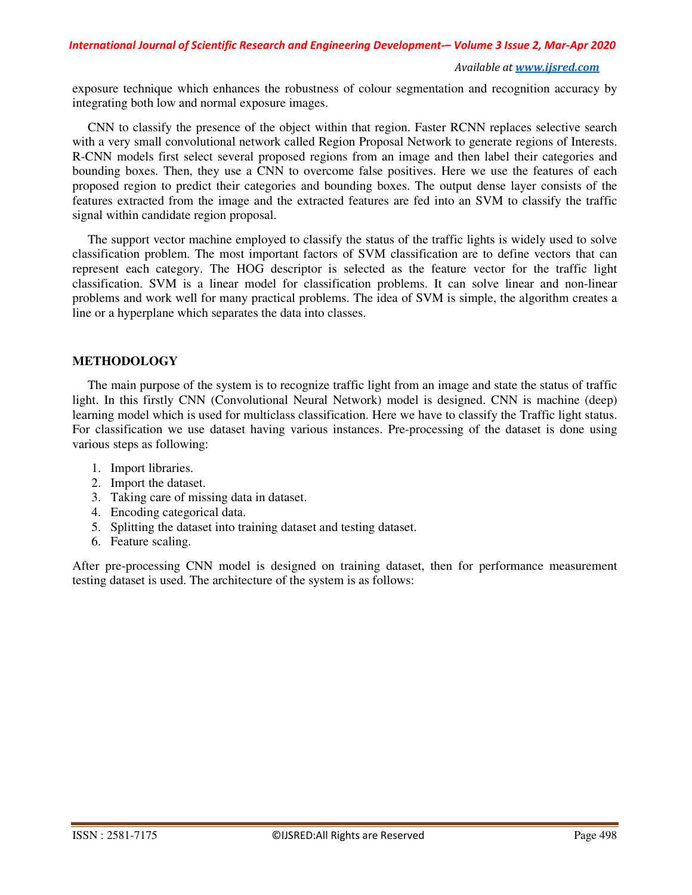*International Journal of Scientific Research and Engineering Development-– Volume 3 Issue 2, Mar-Apr 2020*

#### *Available at www.ijsred.com*

exposure technique which enhances the robustness of colour segmentation and recognition accuracy by integrating both low and normal exposure images.

 CNN to classify the presence of the object within that region. Faster RCNN replaces selective search with a very small convolutional network called Region Proposal Network to generate regions of Interests. R-CNN models first select several proposed regions from an image and then label their categories and bounding boxes. Then, they use a CNN to overcome false positives. Here we use the features of each proposed region to predict their categories and bounding boxes. The output dense layer consists of the features extracted from the image and the extracted features are fed into an SVM to classify the traffic signal within candidate region proposal.

 The support vector machine employed to classify the status of the traffic lights is widely used to solve classification problem. The most important factors of SVM classification are to define vectors that can represent each category. The HOG descriptor is selected as the feature vector for the traffic light classification. SVM is a linear model for classification problems. It can solve linear and non-linear problems and work well for many practical problems. The idea of SVM is simple, the algorithm creates a line or a hyperplane which separates the data into classes.

## **METHODOLOGY**

 The main purpose of the system is to recognize traffic light from an image and state the status of traffic light. In this firstly CNN (Convolutional Neural Network) model is designed. CNN is machine (deep) learning model which is used for multiclass classification. Here we have to classify the Traffic light status. For classification we use dataset having various instances. Pre-processing of the dataset is done using various steps as following:

- 1. Import libraries.
- 2. Import the dataset.
- 3. Taking care of missing data in dataset.
- 4. Encoding categorical data.
- 5. Splitting the dataset into training dataset and testing dataset.
- 6. Feature scaling.

After pre-processing CNN model is designed on training dataset, then for performance measurement testing dataset is used. The architecture of the system is as follows: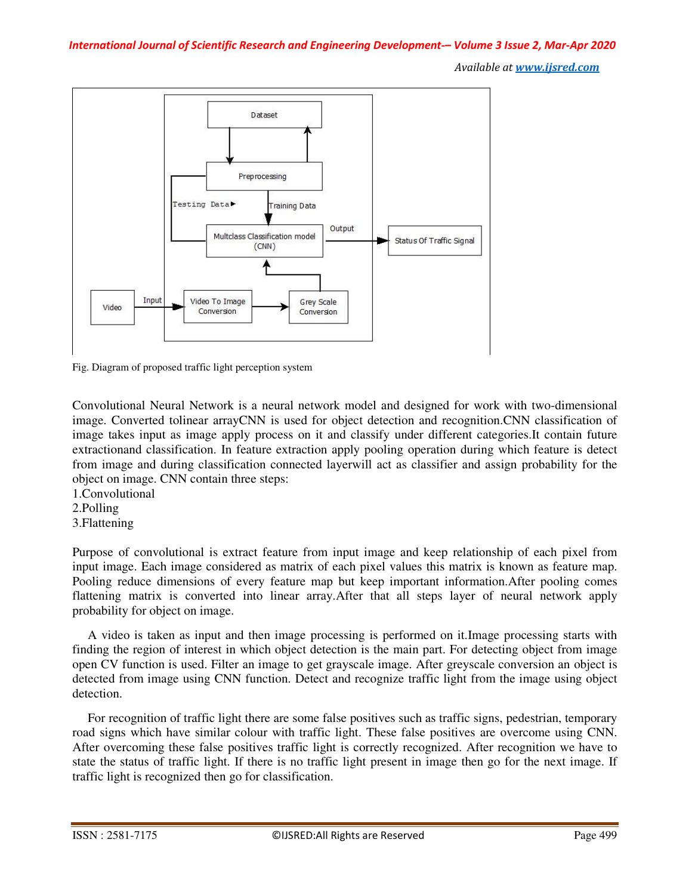*Available at www.ijsred.com*



Fig. Diagram of proposed traffic light perception system

Convolutional Neural Network is a neural network model and designed for work with two-dimensional image. Converted tolinear arrayCNN is used for object detection and recognition.CNN classification of image takes input as image apply process on it and classify under different categories.It contain future extractionand classification. In feature extraction apply pooling operation during which feature is detect from image and during classification connected layerwill act as classifier and assign probability for the object on image. CNN contain three steps:

- 1.Convolutional
- 2.Polling
- 3.Flattening

Purpose of convolutional is extract feature from input image and keep relationship of each pixel from input image. Each image considered as matrix of each pixel values this matrix is known as feature map. Pooling reduce dimensions of every feature map but keep important information.After pooling comes flattening matrix is converted into linear array.After that all steps layer of neural network apply probability for object on image.

 A video is taken as input and then image processing is performed on it.Image processing starts with finding the region of interest in which object detection is the main part. For detecting object from image open CV function is used. Filter an image to get grayscale image. After greyscale conversion an object is detected from image using CNN function. Detect and recognize traffic light from the image using object detection.

 For recognition of traffic light there are some false positives such as traffic signs, pedestrian, temporary road signs which have similar colour with traffic light. These false positives are overcome using CNN. After overcoming these false positives traffic light is correctly recognized. After recognition we have to state the status of traffic light. If there is no traffic light present in image then go for the next image. If traffic light is recognized then go for classification.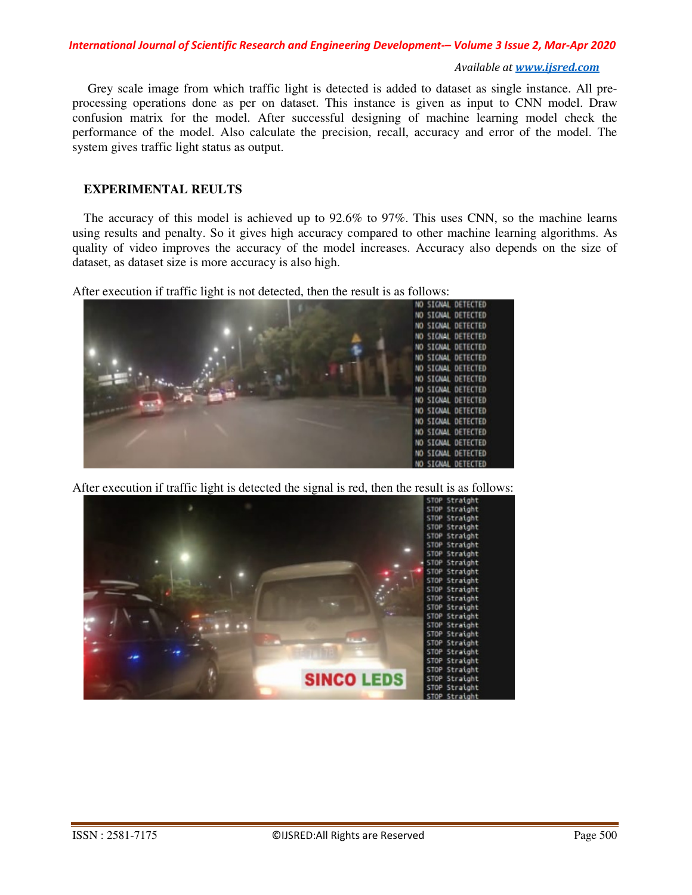#### *International Journal of Scientific Research and Engineering Development-– Volume 3 Issue 2, Mar-Apr 2020*

#### *Available at www.ijsred.com*

 Grey scale image from which traffic light is detected is added to dataset as single instance. All preprocessing operations done as per on dataset. This instance is given as input to CNN model. Draw confusion matrix for the model. After successful designing of machine learning model check the performance of the model. Also calculate the precision, recall, accuracy and error of the model. The system gives traffic light status as output.

## **EXPERIMENTAL REULTS**

The accuracy of this model is achieved up to 92.6% to 97%. This uses CNN, so the machine learns using results and penalty. So it gives high accuracy compared to other machine learning algorithms. As quality of video improves the accuracy of the model increases. Accuracy also depends on the size of dataset, as dataset size is more accuracy is also high.

After execution if traffic light is not detected, then the result is as follows:



After execution if traffic light is detected the signal is red, then the result is as follows: